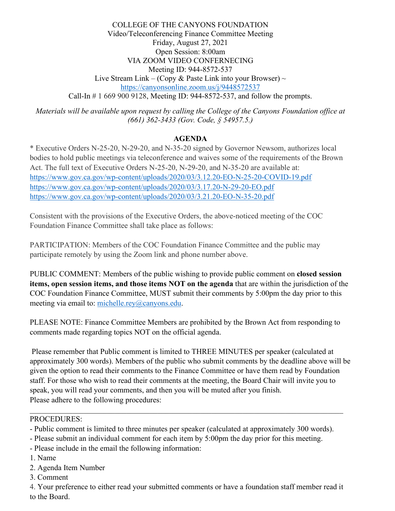COLLEGE OF THE CANYONS FOUNDATION Video/Teleconferencing Finance Committee Meeting Friday, August 27, 2021 Open Session: 8:00am VIA ZOOM VIDEO CONFERNECING Meeting ID: 944-8572-537 Live Stream Link – (Copy & Paste Link into your Browser)  $\sim$ <https://canyonsonline.zoom.us/j/9448572537> Call-In # 1 669 900 9128, Meeting ID: 944-8572-537, and follow the prompts.

*Materials will be available upon request by calling the College of the Canyons Foundation office at (661) 362-3433 (Gov. Code, § 54957.5.)*

## **AGENDA**

\* Executive Orders N-25-20, N-29-20, and N-35-20 signed by Governor Newsom, authorizes local bodies to hold public meetings via teleconference and waives some of the requirements of the Brown Act. The full text of Executive Orders N-25-20, N-29-20, and N-35-20 are available at: <https://www.gov.ca.gov/wp-content/uploads/2020/03/3.12.20-EO-N-25-20-COVID-19.pdf> <https://www.gov.ca.gov/wp-content/uploads/2020/03/3.17.20-N-29-20-EO.pdf> <https://www.gov.ca.gov/wp-content/uploads/2020/03/3.21.20-EO-N-35-20.pdf>

Consistent with the provisions of the Executive Orders, the above-noticed meeting of the COC Foundation Finance Committee shall take place as follows:

PARTICIPATION: Members of the COC Foundation Finance Committee and the public may participate remotely by using the Zoom link and phone number above.

PUBLIC COMMENT: Members of the public wishing to provide public comment on **closed session items, open session items, and those items NOT on the agenda** that are within the jurisdiction of the COC Foundation Finance Committee, MUST submit their comments by 5:00pm the day prior to this meeting via email to: [michelle.rey@canyons.edu.](mailto:michelle.rey@canyons.edu)

PLEASE NOTE: Finance Committee Members are prohibited by the Brown Act from responding to comments made regarding topics NOT on the official agenda.

Please remember that Public comment is limited to THREE MINUTES per speaker (calculated at approximately 300 words). Members of the public who submit comments by the deadline above will be given the option to read their comments to the Finance Committee or have them read by Foundation staff. For those who wish to read their comments at the meeting, the Board Chair will invite you to speak, you will read your comments, and then you will be muted after you finish. Please adhere to the following procedures:

## PROCEDURES:

- Public comment is limited to three minutes per speaker (calculated at approximately 300 words).

- Please submit an individual comment for each item by 5:00pm the day prior for this meeting.
- Please include in the email the following information:
- 1. Name
- 2. Agenda Item Number
- 3. Comment

4. Your preference to either read your submitted comments or have a foundation staff member read it to the Board.